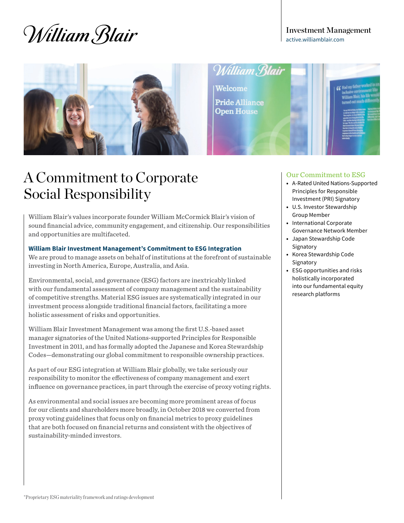# William Blair

Investment Management [active.williamblair.com](http://active.williamblair.com)



William Blair

**Welcome Pride Alliance Open House** 

### A Commitment to Corporate Social Responsibility

William Blair's values incorporate founder William McCormick Blair's vision of sound financial advice, community engagement, and citizenship. Our responsibilities and opportunities are multifaceted.

#### **William Blair Investment Management's Commitment to ESG Integration**

We are proud to manage assets on behalf of institutions at the forefront of sustainable investing in North America, Europe, Australia, and Asia.

Environmental, social, and governance (ESG) factors are inextricably linked with our fundamental assessment of company management and the sustainability of competitive strengths. Material ESG issues are systematically integrated in our investment process alongside traditional financial factors, facilitating a more holistic assessment of risks and opportunities.

William Blair Investment Management was among the first U.S.-based asset manager signatories of the United Nations-supported Principles for Responsible Investment in 2011, and has formally adopted the Japanese and Korea Stewardship Codes—demonstrating our global commitment to responsible ownership practices.

As part of our ESG integration at William Blair globally, we take seriously our responsibility to monitor the effectiveness of company management and exert influence on governance practices, in part through the exercise of proxy voting rights.

As environmental and social issues are becoming more prominent areas of focus for our clients and shareholders more broadly, in October 2018 we converted from proxy voting guidelines that focus only on financial metrics to proxy guidelines that are both focused on financial returns and consistent with the objectives of sustainability-minded investors.

#### Our Commitment to ESG

- A-Rated United Nations-Supported Principles for Responsible Investment (PRI) Signatory
- U.S. Investor Stewardship Group Member
- International Corporate Governance Network Member
- Japan Stewardship Code Signatory
- Korea Stewardship Code Signatory
- ESG opportunities and risks holistically incorporated into our fundamental equity research platforms